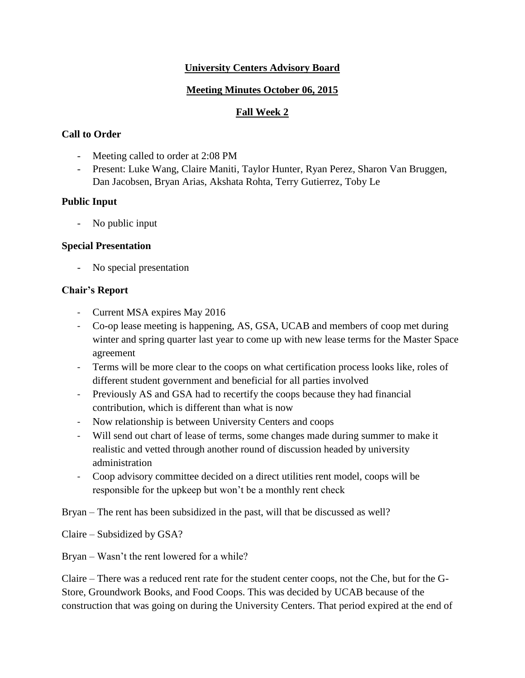## **University Centers Advisory Board**

## **Meeting Minutes October 06, 2015**

# **Fall Week 2**

# **Call to Order**

- Meeting called to order at 2:08 PM
- Present: Luke Wang, Claire Maniti, Taylor Hunter, Ryan Perez, Sharon Van Bruggen, Dan Jacobsen, Bryan Arias, Akshata Rohta, Terry Gutierrez, Toby Le

# **Public Input**

No public input

### **Special Presentation**

- No special presentation

# **Chair's Report**

- Current MSA expires May 2016
- Co-op lease meeting is happening, AS, GSA, UCAB and members of coop met during winter and spring quarter last year to come up with new lease terms for the Master Space agreement
- Terms will be more clear to the coops on what certification process looks like, roles of different student government and beneficial for all parties involved
- Previously AS and GSA had to recertify the coops because they had financial contribution, which is different than what is now
- Now relationship is between University Centers and coops
- Will send out chart of lease of terms, some changes made during summer to make it realistic and vetted through another round of discussion headed by university administration
- Coop advisory committee decided on a direct utilities rent model, coops will be responsible for the upkeep but won't be a monthly rent check

Bryan – The rent has been subsidized in the past, will that be discussed as well?

Claire – Subsidized by GSA?

Bryan – Wasn't the rent lowered for a while?

Claire – There was a reduced rent rate for the student center coops, not the Che, but for the G-Store, Groundwork Books, and Food Coops. This was decided by UCAB because of the construction that was going on during the University Centers. That period expired at the end of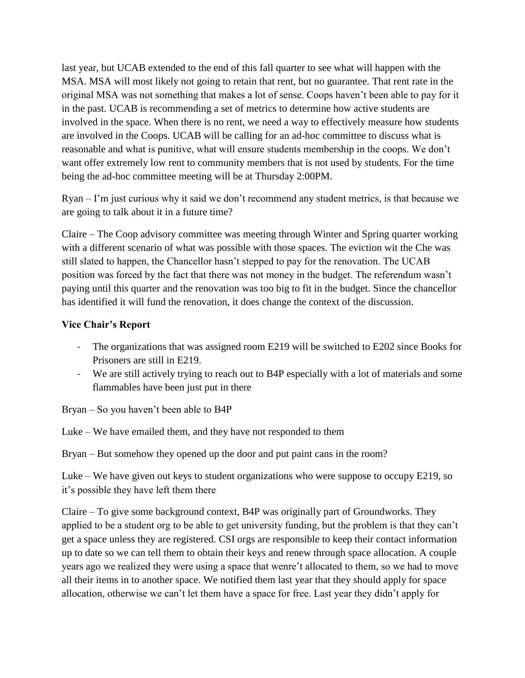last year, but UCAB extended to the end of this fall quarter to see what will happen with the MSA. MSA will most likely not going to retain that rent, but no guarantee. That rent rate in the original MSA was not something that makes a lot of sense. Coops haven't been able to pay for it in the past. UCAB is recommending a set of metrics to determine how active students are involved in the space. When there is no rent, we need a way to effectively measure how students are involved in the Coops. UCAB will be calling for an ad-hoc committee to discuss what is reasonable and what is punitive, what will ensure students membership in the coops. We don't want offer extremely low rent to community members that is not used by students. For the time being the ad-hoc committee meeting will be at Thursday 2:00PM.

Ryan – I'm just curious why it said we don't recommend any student metrics, is that because we are going to talk about it in a future time?

Claire – The Coop advisory committee was meeting through Winter and Spring quarter working with a different scenario of what was possible with those spaces. The eviction wit the Che was still slated to happen, the Chancellor hasn't stepped to pay for the renovation. The UCAB position was forced by the fact that there was not money in the budget. The referendum wasn't paying until this quarter and the renovation was too big to fit in the budget. Since the chancellor has identified it will fund the renovation, it does change the context of the discussion.

### **Vice Chair's Report**

- The organizations that was assigned room E219 will be switched to E202 since Books for Prisoners are still in E219.
- We are still actively trying to reach out to B4P especially with a lot of materials and some flammables have been just put in there

Bryan – So you haven't been able to B4P

Luke – We have emailed them, and they have not responded to them

Bryan – But somehow they opened up the door and put paint cans in the room?

Luke – We have given out keys to student organizations who were suppose to occupy E219, so it's possible they have left them there

Claire – To give some background context, B4P was originally part of Groundworks. They applied to be a student org to be able to get university funding, but the problem is that they can't get a space unless they are registered. CSI orgs are responsible to keep their contact information up to date so we can tell them to obtain their keys and renew through space allocation. A couple years ago we realized they were using a space that wenre't allocated to them, so we had to move all their items in to another space. We notified them last year that they should apply for space allocation, otherwise we can't let them have a space for free. Last year they didn't apply for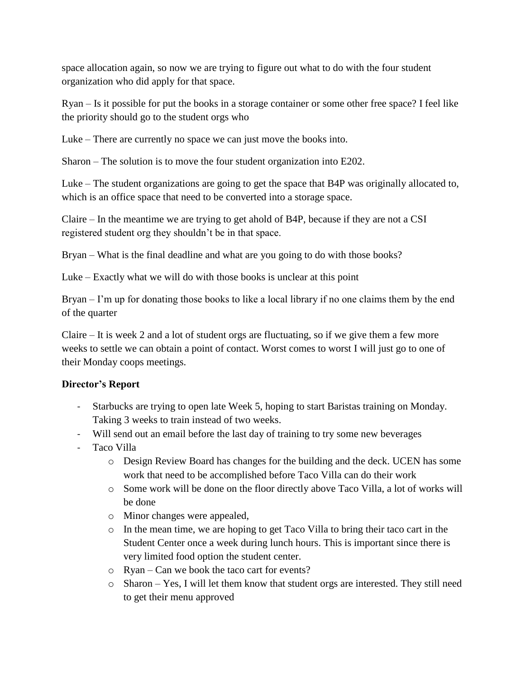space allocation again, so now we are trying to figure out what to do with the four student organization who did apply for that space.

Ryan – Is it possible for put the books in a storage container or some other free space? I feel like the priority should go to the student orgs who

Luke – There are currently no space we can just move the books into.

Sharon – The solution is to move the four student organization into E202.

Luke – The student organizations are going to get the space that B4P was originally allocated to, which is an office space that need to be converted into a storage space.

Claire – In the meantime we are trying to get ahold of B4P, because if they are not a CSI registered student org they shouldn't be in that space.

Bryan – What is the final deadline and what are you going to do with those books?

Luke – Exactly what we will do with those books is unclear at this point

Bryan – I'm up for donating those books to like a local library if no one claims them by the end of the quarter

Claire – It is week 2 and a lot of student orgs are fluctuating, so if we give them a few more weeks to settle we can obtain a point of contact. Worst comes to worst I will just go to one of their Monday coops meetings.

# **Director's Report**

- Starbucks are trying to open late Week 5, hoping to start Baristas training on Monday. Taking 3 weeks to train instead of two weeks.
- Will send out an email before the last day of training to try some new beverages
- Taco Villa
	- o Design Review Board has changes for the building and the deck. UCEN has some work that need to be accomplished before Taco Villa can do their work
	- o Some work will be done on the floor directly above Taco Villa, a lot of works will be done
	- o Minor changes were appealed,
	- o In the mean time, we are hoping to get Taco Villa to bring their taco cart in the Student Center once a week during lunch hours. This is important since there is very limited food option the student center.
	- o Ryan Can we book the taco cart for events?
	- o Sharon Yes, I will let them know that student orgs are interested. They still need to get their menu approved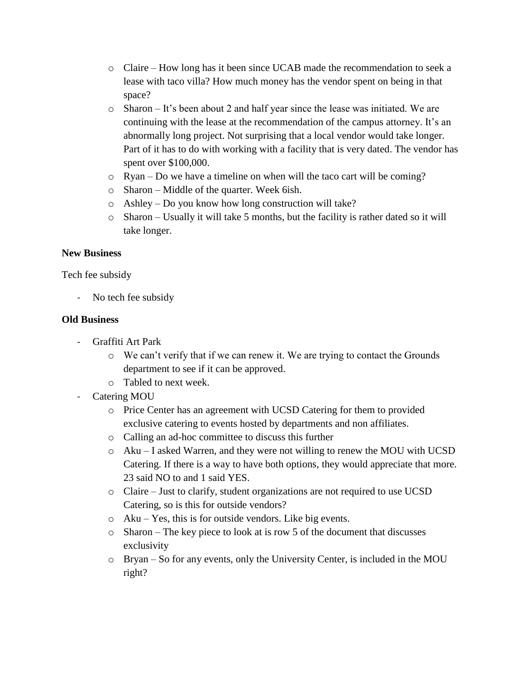- o Claire How long has it been since UCAB made the recommendation to seek a lease with taco villa? How much money has the vendor spent on being in that space?
- o Sharon It's been about 2 and half year since the lease was initiated. We are continuing with the lease at the recommendation of the campus attorney. It's an abnormally long project. Not surprising that a local vendor would take longer. Part of it has to do with working with a facility that is very dated. The vendor has spent over \$100,000.
- o Ryan Do we have a timeline on when will the taco cart will be coming?
- o Sharon Middle of the quarter. Week 6ish.
- o Ashley Do you know how long construction will take?
- $\circ$  Sharon Usually it will take 5 months, but the facility is rather dated so it will take longer.

#### **New Business**

Tech fee subsidy

No tech fee subsidy

#### **Old Business**

- Graffiti Art Park
	- o We can't verify that if we can renew it. We are trying to contact the Grounds department to see if it can be approved.
	- o Tabled to next week.
- Catering MOU
	- o Price Center has an agreement with UCSD Catering for them to provided exclusive catering to events hosted by departments and non affiliates.
	- o Calling an ad-hoc committee to discuss this further
	- o Aku I asked Warren, and they were not willing to renew the MOU with UCSD Catering. If there is a way to have both options, they would appreciate that more. 23 said NO to and 1 said YES.
	- o Claire Just to clarify, student organizations are not required to use UCSD Catering, so is this for outside vendors?
	- o Aku Yes, this is for outside vendors. Like big events.
	- o Sharon The key piece to look at is row 5 of the document that discusses exclusivity
	- o Bryan So for any events, only the University Center, is included in the MOU right?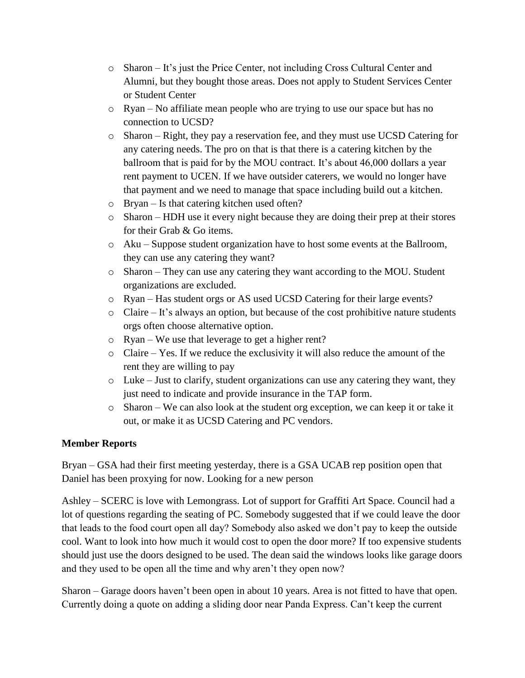- o Sharon It's just the Price Center, not including Cross Cultural Center and Alumni, but they bought those areas. Does not apply to Student Services Center or Student Center
- o Ryan No affiliate mean people who are trying to use our space but has no connection to UCSD?
- $\circ$  Sharon Right, they pay a reservation fee, and they must use UCSD Catering for any catering needs. The pro on that is that there is a catering kitchen by the ballroom that is paid for by the MOU contract. It's about 46,000 dollars a year rent payment to UCEN. If we have outsider caterers, we would no longer have that payment and we need to manage that space including build out a kitchen.
- o Bryan Is that catering kitchen used often?
- o Sharon HDH use it every night because they are doing their prep at their stores for their Grab & Go items.
- $\circ$  Aku Suppose student organization have to host some events at the Ballroom, they can use any catering they want?
- o Sharon They can use any catering they want according to the MOU. Student organizations are excluded.
- o Ryan Has student orgs or AS used UCSD Catering for their large events?
- o Claire It's always an option, but because of the cost prohibitive nature students orgs often choose alternative option.
- o Ryan We use that leverage to get a higher rent?
- o Claire Yes. If we reduce the exclusivity it will also reduce the amount of the rent they are willing to pay
- o Luke Just to clarify, student organizations can use any catering they want, they just need to indicate and provide insurance in the TAP form.
- o Sharon We can also look at the student org exception, we can keep it or take it out, or make it as UCSD Catering and PC vendors.

### **Member Reports**

Bryan – GSA had their first meeting yesterday, there is a GSA UCAB rep position open that Daniel has been proxying for now. Looking for a new person

Ashley – SCERC is love with Lemongrass. Lot of support for Graffiti Art Space. Council had a lot of questions regarding the seating of PC. Somebody suggested that if we could leave the door that leads to the food court open all day? Somebody also asked we don't pay to keep the outside cool. Want to look into how much it would cost to open the door more? If too expensive students should just use the doors designed to be used. The dean said the windows looks like garage doors and they used to be open all the time and why aren't they open now?

Sharon – Garage doors haven't been open in about 10 years. Area is not fitted to have that open. Currently doing a quote on adding a sliding door near Panda Express. Can't keep the current